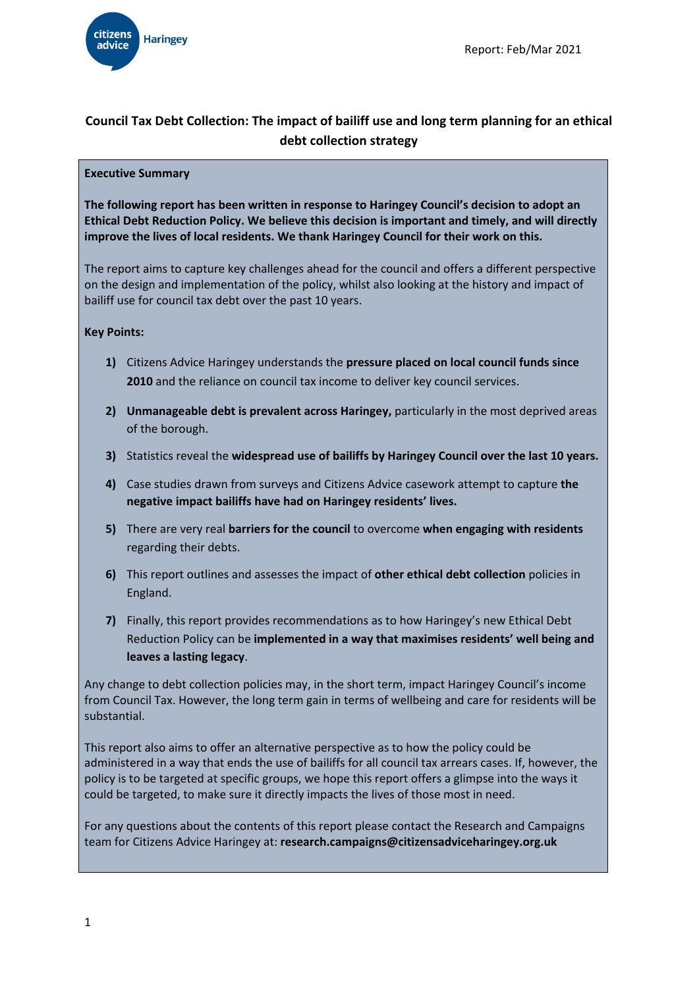

# **Council Tax Debt Collection: The impact of bailiff use and long term planning for an ethical debt collection strategy**

#### **Executive Summary**

**The following report has been written in response to Haringey Council's decision to adopt an Ethical Debt Reduction Policy. We believe this decision is important and timely, and will directly improve the lives of local residents. We thank Haringey Council for their work on this.**

The report aims to capture key challenges ahead for the council and offers a different perspective on the design and implementation of the policy, whilst also looking at the history and impact of bailiff use for council tax debt over the past 10 years.

#### **Key Points:**

- **1)** Citizens Advice Haringey understands the **pressure placed on local council funds since 2010** and the reliance on council tax income to deliver key council services.
- **2) Unmanageable debt is prevalent across Haringey,** particularly in the most deprived areas of the borough.
- **3)** Statistics reveal the **widespread use of bailiffs by Haringey Council over the last 10 years.**
- **4)** Case studies drawn from surveys and Citizens Advice casework attempt to capture **the negative impact bailiffs have had on Haringey residents' lives.**
- **5)** There are very real **barriers for the council** to overcome **when engaging with residents** regarding their debts.
- **6)** This report outlines and assesses the impact of **other ethical debt collection** policies in England.
- **7)** Finally, this report provides recommendations as to how Haringey's new Ethical Debt Reduction Policy can be **implemented in a way that maximises residents' well being and leaves a lasting legacy**.

Any change to debt collection policies may, in the short term, impact Haringey Council's income from Council Tax. However, the long term gain in terms of wellbeing and care for residents will be substantial.

This report also aims to offer an alternative perspective as to how the policy could be administered in a way that ends the use of bailiffs for all council tax arrears cases. If, however, the policy is to be targeted at specific groups, we hope this report offers a glimpse into the ways it could be targeted, to make sure it directly impacts the lives of those most in need.

For any questions about the contents of this report please contact the Research and Campaigns team for Citizens Advice Haringey at: **research.campaigns@citizensadviceharingey.org.uk**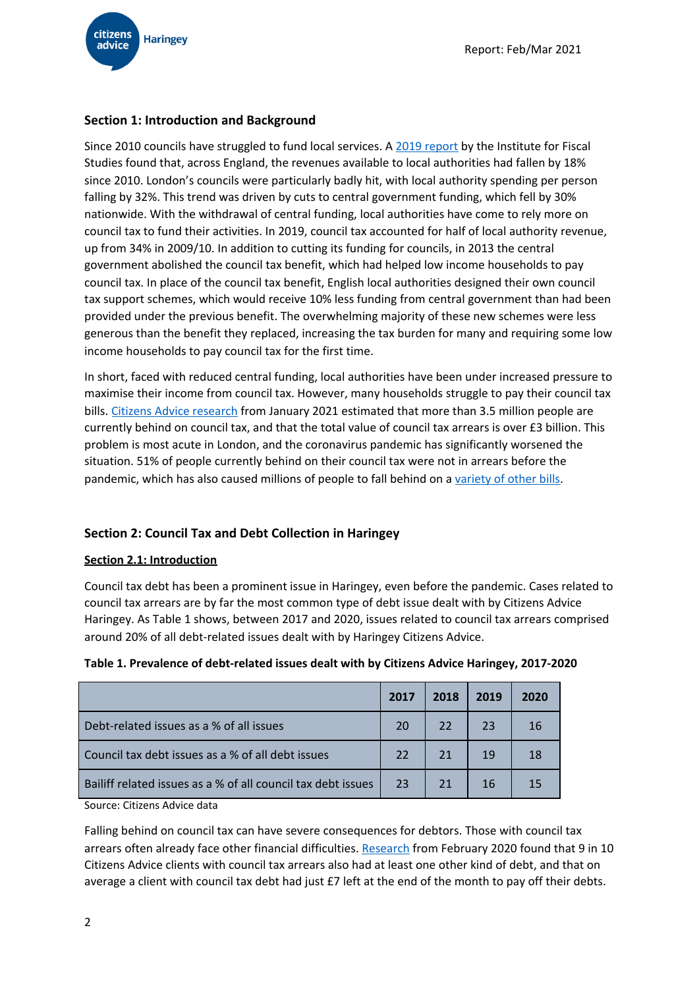

# **Section 1: Introduction and Background**

Since 2010 councils have struggled to fund local services. A 2019 [report](https://www.ifs.org.uk/uploads/English-local-government-funding-trends-and-challenges-in-2019-and-beyond-IFS-Report-166.pdf) by the Institute for Fiscal Studies found that, across England, the revenues available to local authorities had fallen by 18% since 2010. London's councils were particularly badly hit, with local authority spending per person falling by 32%. This trend was driven by cuts to central government funding, which fell by 30% nationwide. With the withdrawal of central funding, local authorities have come to rely more on council tax to fund their activities. In 2019, council tax accounted for half of local authority revenue, up from 34% in 2009/10. In addition to cutting its funding for councils, in 2013 the central government abolished the council tax benefit, which had helped low income households to pay council tax. In place of the council tax benefit, English local authorities designed their own council tax support schemes, which would receive 10% less funding from central government than had been provided under the previous benefit. The overwhelming majority of these new schemes were less generous than the benefit they replaced, increasing the tax burden for many and requiring some low income households to pay council tax for the first time.

In short, faced with reduced central funding, local authorities have been under increased pressure to maximise their income from council tax. However, many households struggle to pay their council tax bills. Citizens Advice [research](https://www.citizensadvice.org.uk/about-us/our-work/policy/policy-research-topics/debt-and-money-policy-research/unavoidable-debt-coronavirus-council-tax-debt/) from January 2021 estimated that more than 3.5 million people are currently behind on council tax, and that the total value of council tax arrears is over £3 billion. This problem is most acute in London, and the coronavirus pandemic has significantly worsened the situation. 51% of people currently behind on their council tax were not in arrears before the pandemic, which has also caused millions of people to fall behind on a [variety](https://www.citizensadvice.org.uk/Global/CitizensAdvice/Debt%20and%20Money%20Publications/Lockdown%20debts.pdf) of other bills.

# **Section 2: Council Tax and Debt Collection in Haringey**

#### **Section 2.1: Introduction**

Council tax debt has been a prominent issue in Haringey, even before the pandemic. Cases related to council tax arrears are by far the most common type of debt issue dealt with by Citizens Advice Haringey. As Table 1 shows, between 2017 and 2020, issues related to council tax arrears comprised around 20% of all debt-related issues dealt with by Haringey Citizens Advice.

| Table 1. Prevalence of debt-related issues dealt with by Citizens Advice Haringey, 2017-2020 |  |
|----------------------------------------------------------------------------------------------|--|
|----------------------------------------------------------------------------------------------|--|

|                                                              | 2017 | 2018 | 2019 | 2020 |
|--------------------------------------------------------------|------|------|------|------|
| Debt-related issues as a % of all issues                     | 20   | 22   | 23   |      |
| Council tax debt issues as a % of all debt issues            | 22   | 21   | 19   |      |
| Bailiff related issues as a % of all council tax debt issues | 23   | 21   | 16   |      |

Source: Citizens Advice data

Falling behind on council tax can have severe consequences for debtors. Those with council tax arrears often already face other financial difficulties. [Research](https://www.citizensadvice.org.uk/Global/CitizensAdvice/Consumer%20publications/Wrong%20side%20of%20the%20tax.pdf) from February 2020 found that 9 in 10 Citizens Advice clients with council tax arrears also had at least one other kind of debt, and that on average a client with council tax debt had just £7 left at the end of the month to pay off their debts.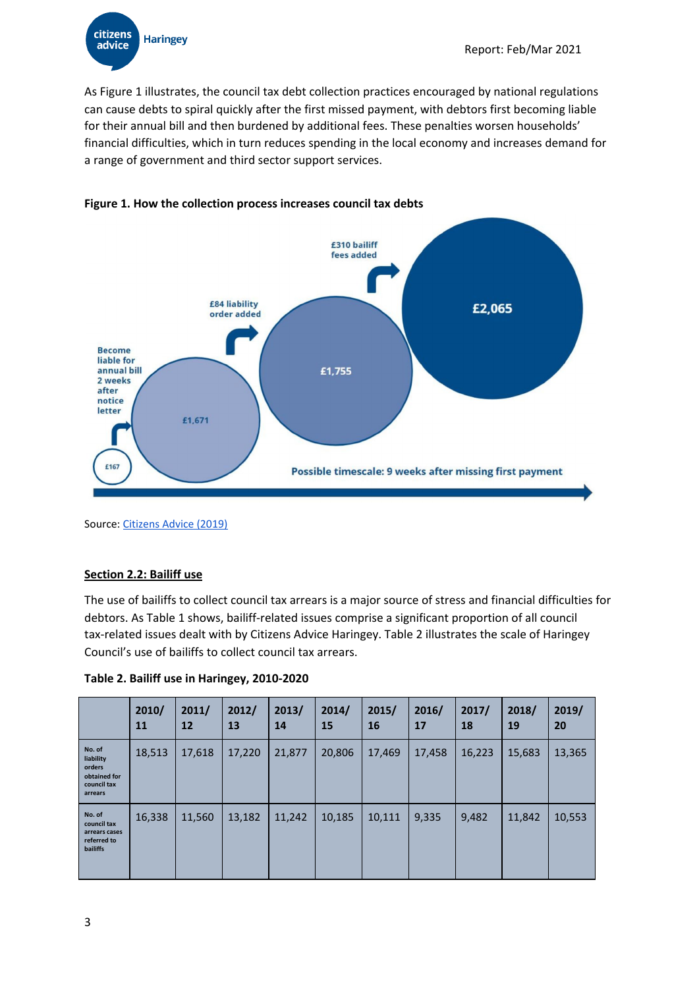citizens **Haringey** advice

As Figure 1 illustrates, the council tax debt collection practices encouraged by national regulations can cause debts to spiral quickly after the first missed payment, with debtors first becoming liable for their annual bill and then burdened by additional fees. These penalties worsen households' financial difficulties, which in turn reduces spending in the local economy and increases demand for a range of government and third sector support services.



### **Figure 1. How the collection process increases council tax debts**

Source: [Citizens](https://www.citizensadvice.org.uk/Global/CitizensAdvice/Debt%20and%20Money%20Publications/FINAL_%20Costs%20of%20Collection%20.pdf) Advice (2019)

### **Section 2.2: Bailiff use**

The use of bailiffs to collect council tax arrears is a major source of stress and financial difficulties for debtors. As Table 1 shows, bailiff-related issues comprise a significant proportion of all council tax-related issues dealt with by Citizens Advice Haringey. Table 2 illustrates the scale of Haringey Council's use of bailiffs to collect council tax arrears.

**Table 2. Bailiff use in Haringey, 2010-2020**

|                                                                          | 2010/<br>11 | 2011/<br>12 | 2012/<br>13 | 2013/<br>14 | 2014/<br>15 | 2015/<br>16 | 2016/<br>17 | 2017/<br>18 | 2018/<br>19 | 2019/<br>20 |
|--------------------------------------------------------------------------|-------------|-------------|-------------|-------------|-------------|-------------|-------------|-------------|-------------|-------------|
| No. of<br>liability<br>orders<br>obtained for<br>council tax<br>arrears  | 18,513      | 17,618      | 17,220      | 21,877      | 20,806      | 17,469      | 17,458      | 16,223      | 15,683      | 13,365      |
| No. of<br>council tax<br>arrears cases<br>referred to<br><b>bailiffs</b> | 16,338      | 11,560      | 13,182      | 11,242      | 10,185      | 10,111      | 9,335       | 9,482       | 11,842      | 10,553      |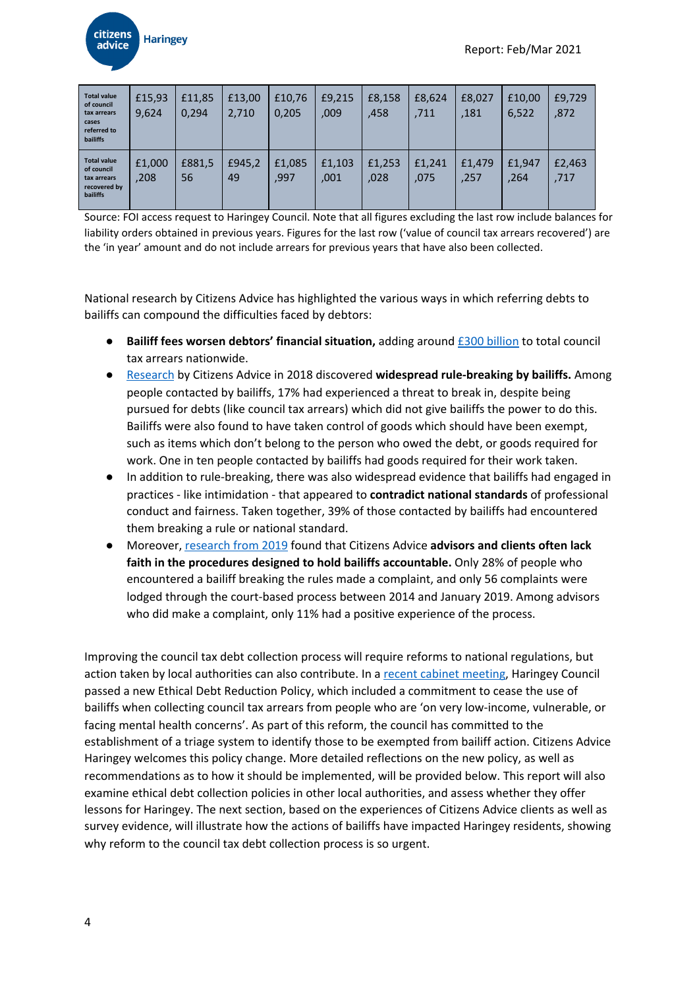

| <b>Total value</b><br>of council<br>tax arrears<br>cases<br>referred to<br><b>bailiffs</b> | £15,93<br>9,624 | £11,85<br>0,294 | £13,00<br>2,710 | £10,76<br>0,205 | £9,215<br>,009 | £8,158<br>,458 | £8,624<br>,711 | £8,027<br>.181 | £10.00<br>6,522 | £9,729<br>,872 |
|--------------------------------------------------------------------------------------------|-----------------|-----------------|-----------------|-----------------|----------------|----------------|----------------|----------------|-----------------|----------------|
| <b>Total value</b><br>of council<br>tax arrears<br>recovered by<br><b>bailiffs</b>         | £1,000<br>,208  | £881,5<br>56    | £945,2<br>49    | £1,085<br>,997  | £1,103<br>,001 | £1,253<br>,028 | £1.241<br>.075 | £1.479<br>,257 | £1,947<br>,264  | £2,463<br>,717 |

Source: FOI access request to Haringey Council. Note that all figures excluding the last row include balances for liability orders obtained in previous years. Figures for the last row ('value of council tax arrears recovered') are the 'in year' amount and do not include arrears for previous years that have also been collected.

National research by Citizens Advice has highlighted the various ways in which referring debts to bailiffs can compound the difficulties faced by debtors:

- **Bailiff fees worsen debtors' financial situation,** adding around £300 [billion](https://www.citizensadvice.org.uk/Global/CitizensAdvice/Debt%20and%20Money%20Publications/FINAL_%20Costs%20of%20Collection%20.pdf) to total council tax arrears nationwide.
- [Research](https://www.citizensadvice.org.uk/about-us/our-work/policy/policy-research-topics/debt-and-money-policy-research/a-law-unto-themselves-how-bailiffs-are-breaking-the-rules/) by Citizens Advice in 2018 discovered **widespread rule-breaking by bailiffs.** Among people contacted by bailiffs, 17% had experienced a threat to break in, despite being pursued for debts (like council tax arrears) which did not give bailiffs the power to do this. Bailiffs were also found to have taken control of goods which should have been exempt, such as items which don't belong to the person who owed the debt, or goods required for work. One in ten people contacted by bailiffs had goods required for their work taken.
- In addition to rule-breaking, there was also widespread evidence that bailiffs had engaged in practices - like intimidation - that appeared to **contradict national standards** of professional conduct and fairness. Taken together, 39% of those contacted by bailiffs had encountered them breaking a rule or national standard.
- Moreover, [research](https://www.citizensadvice.org.uk/about-us/our-work/policy/policy-research-topics/debt-and-money-policy-research/the-rules-of-enforcement-complaining-about-bailiffs-in-a-self-regulated-system/) from 2019 found that Citizens Advice **advisors and clients often lack faith in the procedures designed to hold bailiffs accountable.** Only 28% of people who encountered a bailiff breaking the rules made a complaint, and only 56 complaints were lodged through the court-based process between 2014 and January 2019. Among advisors who did make a complaint, only 11% had a positive experience of the process.

Improving the council tax debt collection process will require reforms to national regulations, but action taken by local authorities can also contribute. In a recent cabinet [meeting](https://www.minutes.haringey.gov.uk/documents/g9468/Public%20reports%20pack%2009th-Feb-2021%2018.30%20Cabinet.pdf?T=10), Haringey Council passed a new Ethical Debt Reduction Policy, which included a commitment to cease the use of bailiffs when collecting council tax arrears from people who are 'on very low-income, vulnerable, or facing mental health concerns'. As part of this reform, the council has committed to the establishment of a triage system to identify those to be exempted from bailiff action. Citizens Advice Haringey welcomes this policy change. More detailed reflections on the new policy, as well as recommendations as to how it should be implemented, will be provided below. This report will also examine ethical debt collection policies in other local authorities, and assess whether they offer lessons for Haringey. The next section, based on the experiences of Citizens Advice clients as well as survey evidence, will illustrate how the actions of bailiffs have impacted Haringey residents, showing why reform to the council tax debt collection process is so urgent.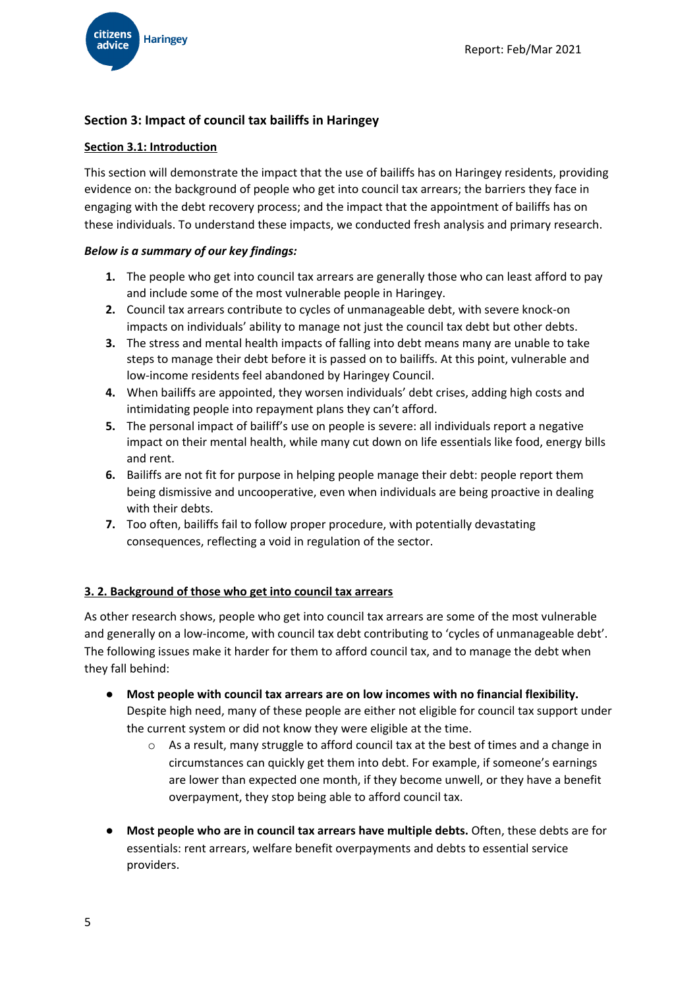

# **Section 3: Impact of council tax bailiffs in Haringey**

# **Section 3.1: Introduction**

This section will demonstrate the impact that the use of bailiffs has on Haringey residents, providing evidence on: the background of people who get into council tax arrears; the barriers they face in engaging with the debt recovery process; and the impact that the appointment of bailiffs has on these individuals. To understand these impacts, we conducted fresh analysis and primary research.

# *Below is a summary of our key findings:*

- **1.** The people who get into council tax arrears are generally those who can least afford to pay and include some of the most vulnerable people in Haringey.
- **2.** Council tax arrears contribute to cycles of unmanageable debt, with severe knock-on impacts on individuals' ability to manage not just the council tax debt but other debts.
- **3.** The stress and mental health impacts of falling into debt means many are unable to take steps to manage their debt before it is passed on to bailiffs. At this point, vulnerable and low-income residents feel abandoned by Haringey Council.
- **4.** When bailiffs are appointed, they worsen individuals' debt crises, adding high costs and intimidating people into repayment plans they can't afford.
- **5.** The personal impact of bailiff's use on people is severe: all individuals report a negative impact on their mental health, while many cut down on life essentials like food, energy bills and rent.
- **6.** Bailiffs are not fit for purpose in helping people manage their debt: people report them being dismissive and uncooperative, even when individuals are being proactive in dealing with their debts.
- **7.** Too often, bailiffs fail to follow proper procedure, with potentially devastating consequences, reflecting a void in regulation of the sector.

# **3. 2. Background of those who get into council tax arrears**

As other research shows, people who get into council tax arrears are some of the most vulnerable and generally on a low-income, with council tax debt contributing to 'cycles of unmanageable debt'. The following issues make it harder for them to afford council tax, and to manage the debt when they fall behind:

- **● Most people with council tax arrears are on low incomes with no financial flexibility.** Despite high need, many of these people are either not eligible for council tax support under the current system or did not know they were eligible at the time.
	- o As a result, many struggle to afford council tax at the best of times and a change in circumstances can quickly get them into debt. For example, if someone's earnings are lower than expected one month, if they become unwell, or they have a benefit overpayment, they stop being able to afford council tax.
- **● Most people who are in council tax arrears have multiple debts.** Often, these debts are for essentials: rent arrears, welfare benefit overpayments and debts to essential service providers.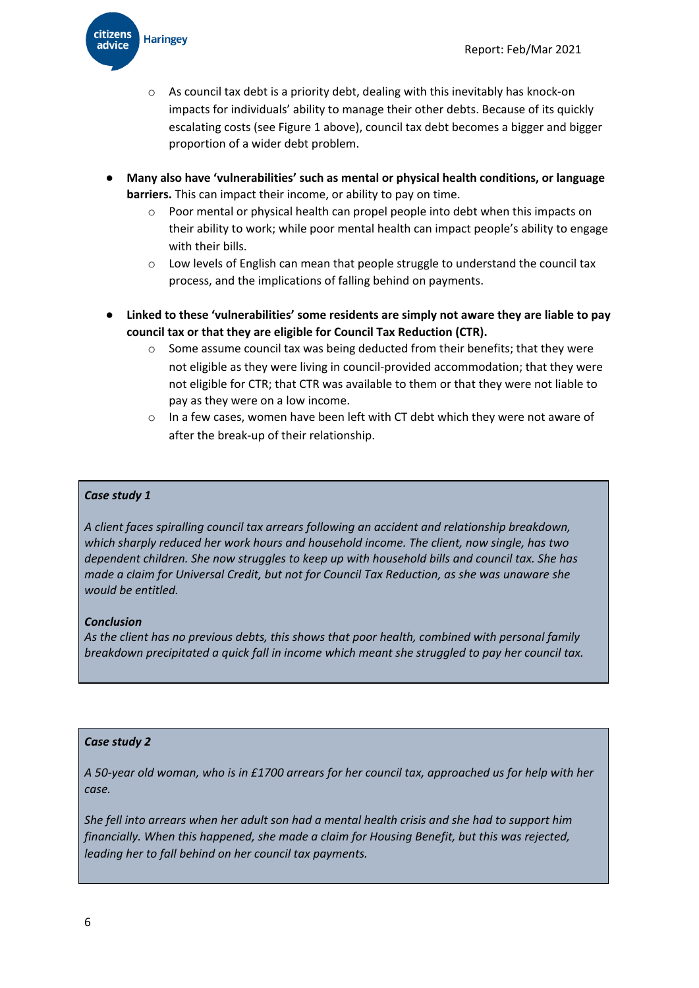

- o As council tax debt is a priority debt, dealing with this inevitably has knock-on impacts for individuals' ability to manage their other debts. Because of its quickly escalating costs (see Figure 1 above), council tax debt becomes a bigger and bigger proportion of a wider debt problem.
- **● Many also have 'vulnerabilities' such as mental or physical health conditions, or language barriers.** This can impact their income, or ability to pay on time.
	- o Poor mental or physical health can propel people into debt when this impacts on their ability to work; while poor mental health can impact people's ability to engage with their bills.
	- $\circ$  Low levels of English can mean that people struggle to understand the council tax process, and the implications of falling behind on payments.
- **● Linked to these 'vulnerabilities' some residents are simply not aware they are liable to pay council tax or that they are eligible for Council Tax Reduction (CTR).**
	- $\circ$  Some assume council tax was being deducted from their benefits; that they were not eligible as they were living in council-provided accommodation; that they were not eligible for CTR; that CTR was available to them or that they were not liable to pay as they were on a low income.
	- o In a few cases, women have been left with CT debt which they were not aware of after the break-up of their relationship.

### *Case study 1*

*A client faces spiralling council tax arrears following an accident and relationship breakdown, which sharply reduced her work hours and household income. The client, now single, has two dependent children. She now struggles to keep up with household bills and council tax. She has made a claim for Universal Credit, but not for Council Tax Reduction, as she was unaware she would be entitled.*

#### *Conclusion*

*As the client has no previous debts, this shows that poor health, combined with personal family breakdown precipitated a quick fall in income which meant she struggled to pay her council tax.*

#### *Case study 2*

A 50-year old woman, who is in £1700 arrears for her council tax, approached us for help with her *case.*

She fell into arrears when her adult son had a mental health crisis and she had to support him *financially. When this happened, she made a claim for Housing Benefit, but this was rejected, leading her to fall behind on her council tax payments.*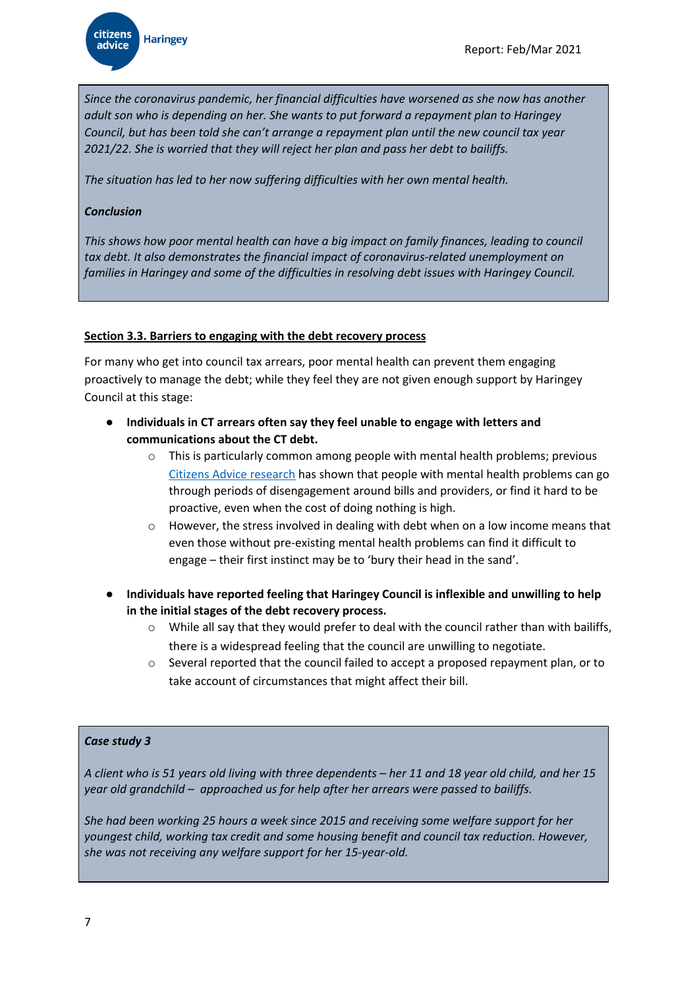*Since the coronavirus pandemic, her financial difficulties have worsened as she now has another adult son who is depending on her. She wants to put forward a repayment plan to Haringey Council, but has been told she can't arrange a repayment plan until the new council tax year 2021/22. She is worried that they will reject her plan and pass her debt to bailiffs.*

*The situation has led to her now suffering difficulties with her own mental health.*

### *Conclusion*

*This shows how poor mental health can have a big impact on family finances, leading to council tax debt. It also demonstrates the financial impact of coronavirus-related unemployment on families in Haringey and some of the difficulties in resolving debt issues with Haringey Council.*

### **Section 3.3. Barriers to engaging with the debt recovery process**

For many who get into council tax arrears, poor mental health can prevent them engaging proactively to manage the debt; while they feel they are not given enough support by Haringey Council at this stage:

- **● Individuals in CT arrears often say they feel unable to engage with letters and communications about the CT debt.**
	- $\circ$  This is particularly common among people with mental health problems; previous Citizens Advice [research](https://www.citizensadvice.org.uk/about-us/our-work/policy/policy-research-topics/consumer-policy-research/consumer-policy-research/essential-service-markets-and-people-with-mental-health-problems/) has shown that people with mental health problems can go through periods of disengagement around bills and providers, or find it hard to be proactive, even when the cost of doing nothing is high.
	- However, the stress involved in dealing with debt when on a low income means that even those without pre-existing mental health problems can find it difficult to engage – their first instinct may be to 'bury their head in the sand'.
- **● Individuals have reported feeling that Haringey Council is inflexible and unwilling to help in the initial stages of the debt recovery process.**
	- While all say that they would prefer to deal with the council rather than with bailiffs, there is a widespread feeling that the council are unwilling to negotiate.
	- o Several reported that the council failed to accept a proposed repayment plan, or to take account of circumstances that might affect their bill.

# *Case study 3*

A client who is 51 years old living with three dependents - her 11 and 18 year old child, and her 15 *year old grandchild – approached us for help after her arrears were passed to bailiffs.*

*She had been working 25 hours a week since 2015 and receiving some welfare support for her youngest child, working tax credit and some housing benefit and council tax reduction. However, she was not receiving any welfare support for her 15-year-old.*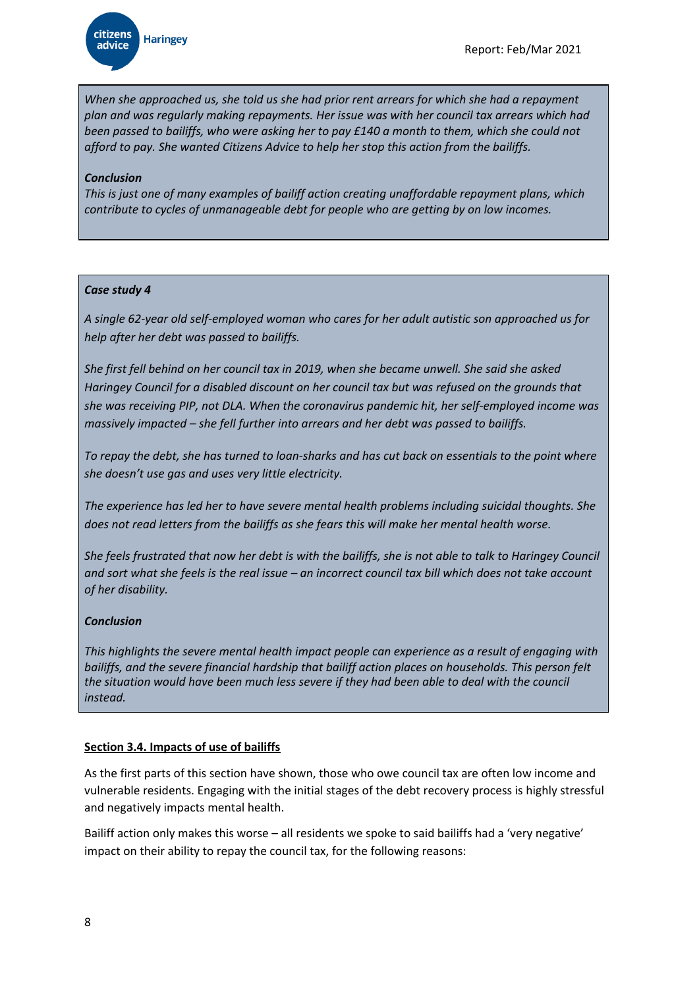*When she approached us, she told us she had prior rent arrears for which she had a repayment plan and was regularly making repayments. Her issue was with her council tax arrears which had* been passed to bailiffs, who were asking her to pay £140 a month to them, which she could not *afford to pay. She wanted Citizens Advice to help her stop this action from the bailiffs.*

### *Conclusion*

*This is just one of many examples of bailiff action creating unaffordable repayment plans, which contribute to cycles of unmanageable debt for people who are getting by on low incomes.*

### *Case study 4*

*A single 62-year old self-employed woman who cares for her adult autistic son approached us for help after her debt was passed to bailiffs.*

*She first fell behind on her council tax in 2019, when she became unwell. She said she asked Haringey Council for a disabled discount on her council tax but was refused on the grounds that she was receiving PIP, not DLA. When the coronavirus pandemic hit, her self-employed income was massively impacted – she fell further into arrears and her debt was passed to bailiffs.*

To repay the debt, she has turned to loan-sharks and has cut back on essentials to the point where *she doesn't use gas and uses very little electricity.*

*The experience has led her to have severe mental health problems including suicidal thoughts. She does not read letters from the bailiffs as she fears this will make her mental health worse.*

She feels frustrated that now her debt is with the bailiffs, she is not able to talk to Haringey Council and sort what she feels is the real issue - an incorrect council tax bill which does not take account *of her disability.*

# *Conclusion*

*This highlights the severe mental health impact people can experience as a result of engaging with bailiffs, and the severe financial hardship that bailiff action places on households. This person felt the situation would have been much less severe if they had been able to deal with the council instead.*

# **Section 3.4. Impacts of use of bailiffs**

As the first parts of this section have shown, those who owe council tax are often low income and vulnerable residents. Engaging with the initial stages of the debt recovery process is highly stressful and negatively impacts mental health.

Bailiff action only makes this worse – all residents we spoke to said bailiffs had a 'very negative' impact on their ability to repay the council tax, for the following reasons: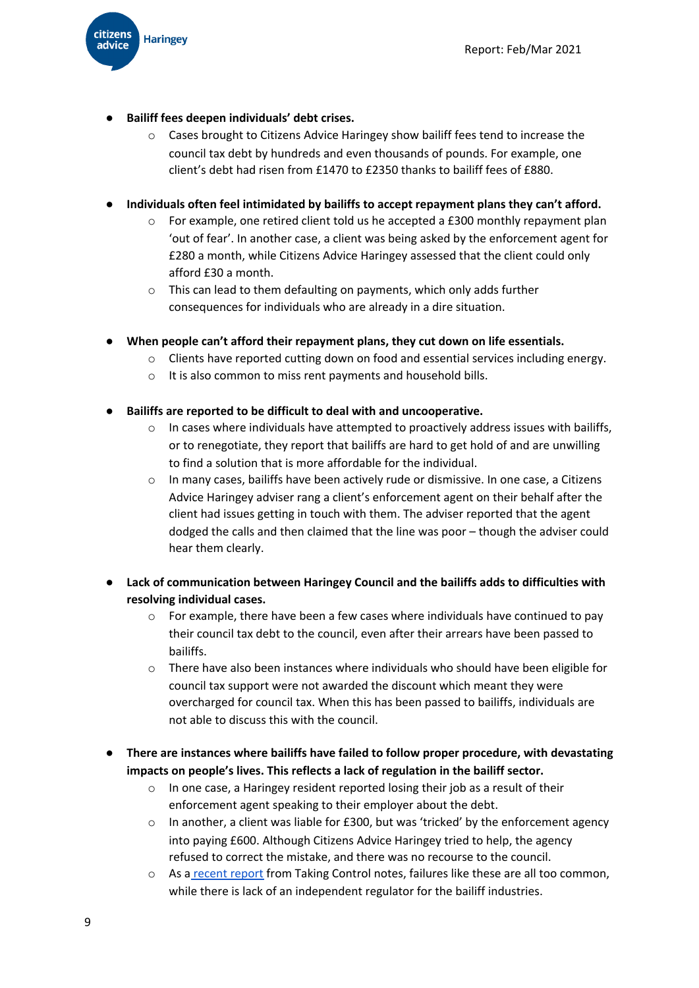**● Bailiff fees deepen individuals' debt crises.**

**citizens** 

advice

**Haringey** 

o Cases brought to Citizens Advice Haringey show bailiff fees tend to increase the council tax debt by hundreds and even thousands of pounds. For example, one client's debt had risen from £1470 to £2350 thanks to bailiff fees of £880.

# **● Individuals often feel intimidated by bailiffs to accept repayment plans they can't afford.**

- o For example, one retired client told us he accepted a £300 monthly repayment plan 'out of fear'. In another case, a client was being asked by the enforcement agent for £280 a month, while Citizens Advice Haringey assessed that the client could only afford £30 a month.
- o This can lead to them defaulting on payments, which only adds further consequences for individuals who are already in a dire situation.
- **● When people can't afford their repayment plans, they cut down on life essentials.**
	- o Clients have reported cutting down on food and essential services including energy.
	- o It is also common to miss rent payments and household bills.
- **● Bailiffs are reported to be difficult to deal with and uncooperative.**
	- $\circ$  In cases where individuals have attempted to proactively address issues with bailiffs, or to renegotiate, they report that bailiffs are hard to get hold of and are unwilling to find a solution that is more affordable for the individual.
	- o In many cases, bailiffs have been actively rude or dismissive. In one case, a Citizens Advice Haringey adviser rang a client's enforcement agent on their behalf after the client had issues getting in touch with them. The adviser reported that the agent dodged the calls and then claimed that the line was poor – though the adviser could hear them clearly.
- **● Lack of communication between Haringey Council and the bailiffs adds to difficulties with resolving individual cases.**
	- o For example, there have been a few cases where individuals have continued to pay their council tax debt to the council, even after their arrears have been passed to bailiffs.
	- o There have also been instances where individuals who should have been eligible for council tax support were not awarded the discount which meant they were overcharged for council tax. When this has been passed to bailiffs, individuals are not able to discuss this with the council.
- **● There are instances where bailiffs have failed to follow proper procedure, with devastating impacts on people's lives. This reflects a lack of regulation in the bailiff sector.**
	- o In one case, a Haringey resident reported losing their job as a result of their enforcement agent speaking to their employer about the debt.
	- $\circ$  In another, a client was liable for £300, but was 'tricked' by the enforcement agency into paying £600. Although Citizens Advice Haringey tried to help, the agency refused to correct the mistake, and there was no recourse to the council.
	- o As a [recent](https://www.stepchange.org/Portals/0/assets/pdf/bailiff-acitivity-during-covid-crisis.pdf) report from Taking Control notes, failures like these are all too common, while there is lack of an independent regulator for the bailiff industries.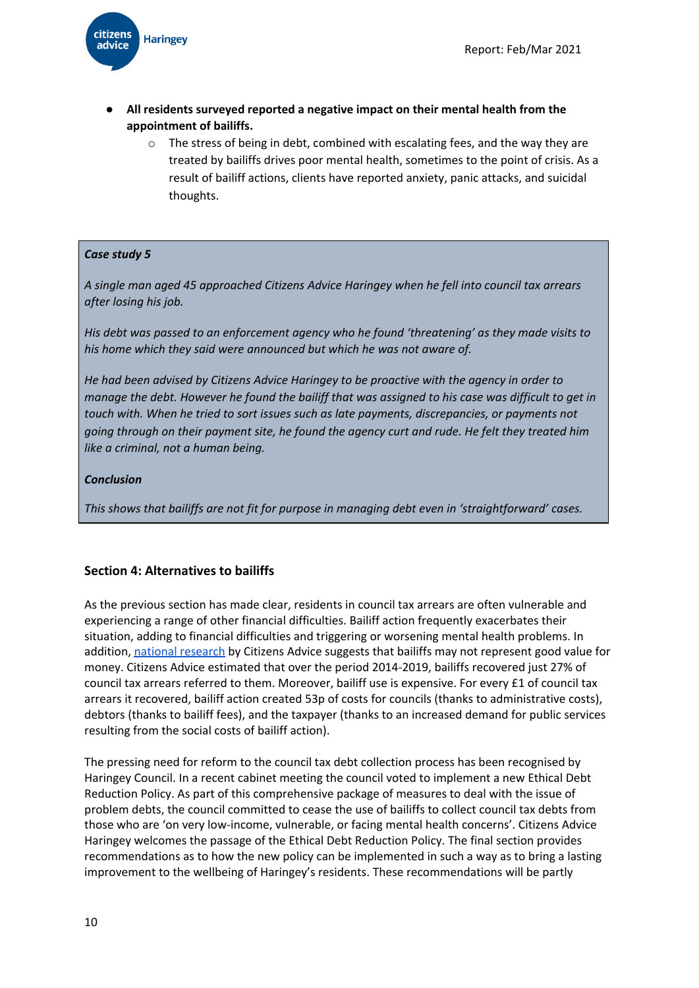

- **● All residents surveyed reported a negative impact on their mental health from the appointment of bailiffs.**
	- o The stress of being in debt, combined with escalating fees, and the way they are treated by bailiffs drives poor mental health, sometimes to the point of crisis. As a result of bailiff actions, clients have reported anxiety, panic attacks, and suicidal thoughts.

### *Case study 5*

*A single man aged 45 approached Citizens Advice Haringey when he fell into council tax arrears after losing his job.*

*His debt was passed to an enforcement agency who he found 'threatening' as they made visits to his home which they said were announced but which he was not aware of.*

*He had been advised by Citizens Advice Haringey to be proactive with the agency in order to* manage the debt. However he found the bailiff that was assigned to his case was difficult to get in *touch with. When he tried to sort issues such as late payments, discrepancies, or payments not going through on their payment site, he found the agency curt and rude. He felt they treated him like a criminal, not a human being.*

#### *Conclusion*

*This shows that bailiffs are not fit for purpose in managing debt even in 'straightforward' cases.*

# **Section 4: Alternatives to bailiffs**

As the previous section has made clear, residents in council tax arrears are often vulnerable and experiencing a range of other financial difficulties. Bailiff action frequently exacerbates their situation, adding to financial difficulties and triggering or worsening mental health problems. In addition, national [research](https://www.citizensadvice.org.uk/Global/CitizensAdvice/Debt%20and%20Money%20Publications/Citizens%20Advice%20FOI%20request%20-%20council%20tax%20%20arrears%20collection%20(1).pdf) by Citizens Advice suggests that bailiffs may not represent good value for money. Citizens Advice estimated that over the period 2014-2019, bailiffs recovered just 27% of council tax arrears referred to them. Moreover, bailiff use is expensive. For every £1 of council tax arrears it recovered, bailiff action created 53p of costs for councils (thanks to administrative costs), debtors (thanks to bailiff fees), and the taxpayer (thanks to an increased demand for public services resulting from the social costs of bailiff action).

The pressing need for reform to the council tax debt collection process has been recognised by Haringey Council. In a recent cabinet meeting the council voted to implement a new Ethical Debt Reduction Policy. As part of this comprehensive package of measures to deal with the issue of problem debts, the council committed to cease the use of bailiffs to collect council tax debts from those who are 'on very low-income, vulnerable, or facing mental health concerns'. Citizens Advice Haringey welcomes the passage of the Ethical Debt Reduction Policy. The final section provides recommendations as to how the new policy can be implemented in such a way as to bring a lasting improvement to the wellbeing of Haringey's residents. These recommendations will be partly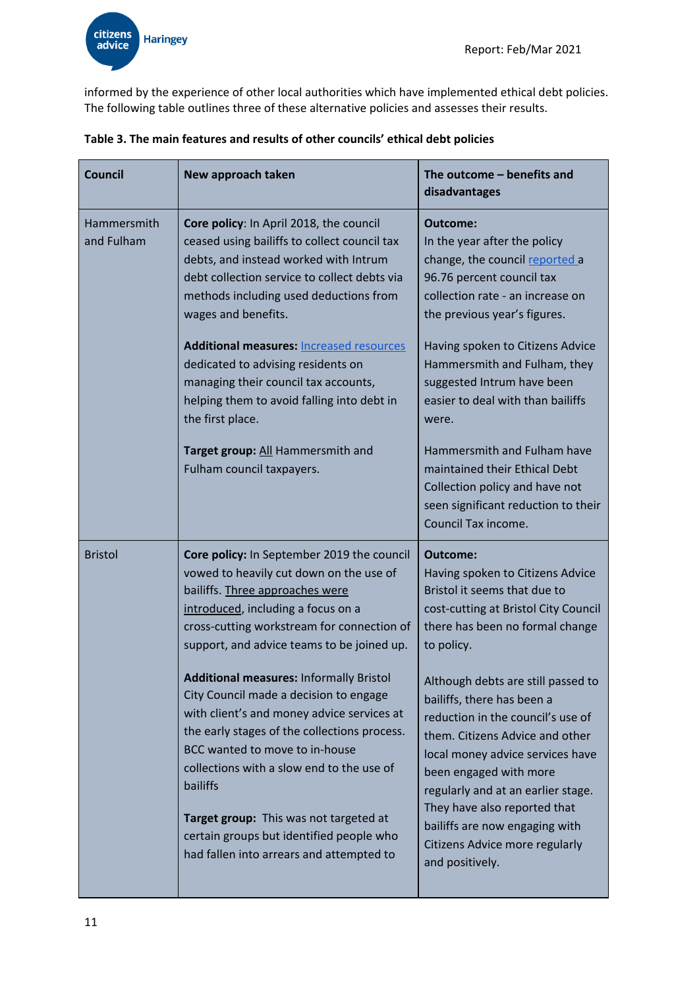

informed by the experience of other local authorities which have implemented ethical debt policies. The following table outlines three of these alternative policies and assesses their results.

| <b>Council</b>            | New approach taken                                                                                                                                                                                                                                                                                                          | The outcome - benefits and<br>disadvantages                                                                                                                                                                                                                                                                    |  |  |
|---------------------------|-----------------------------------------------------------------------------------------------------------------------------------------------------------------------------------------------------------------------------------------------------------------------------------------------------------------------------|----------------------------------------------------------------------------------------------------------------------------------------------------------------------------------------------------------------------------------------------------------------------------------------------------------------|--|--|
| Hammersmith<br>and Fulham | Core policy: In April 2018, the council<br>ceased using bailiffs to collect council tax<br>debts, and instead worked with Intrum<br>debt collection service to collect debts via<br>methods including used deductions from<br>wages and benefits.<br><b>Additional measures: Increased resources</b>                        | Outcome:<br>In the year after the policy<br>change, the council reported a<br>96.76 percent council tax<br>collection rate - an increase on<br>the previous year's figures.<br>Having spoken to Citizens Advice                                                                                                |  |  |
|                           | dedicated to advising residents on<br>managing their council tax accounts,<br>helping them to avoid falling into debt in<br>the first place.                                                                                                                                                                                | Hammersmith and Fulham, they<br>suggested Intrum have been<br>easier to deal with than bailiffs<br>were.                                                                                                                                                                                                       |  |  |
|                           | Target group: All Hammersmith and<br>Fulham council taxpayers.                                                                                                                                                                                                                                                              | Hammersmith and Fulham have<br>maintained their Ethical Debt<br>Collection policy and have not<br>seen significant reduction to their<br>Council Tax income.                                                                                                                                                   |  |  |
| <b>Bristol</b>            | Core policy: In September 2019 the council<br>vowed to heavily cut down on the use of<br>bailiffs. Three approaches were<br>introduced, including a focus on a<br>cross-cutting workstream for connection of<br>support, and advice teams to be joined up.                                                                  | Outcome:<br>Having spoken to Citizens Advice<br>Bristol it seems that due to<br>cost-cutting at Bristol City Council<br>there has been no formal change<br>to policy.                                                                                                                                          |  |  |
|                           | <b>Additional measures: Informally Bristol</b><br>City Council made a decision to engage<br>with client's and money advice services at<br>the early stages of the collections process.<br>BCC wanted to move to in-house<br>collections with a slow end to the use of<br>bailiffs<br>Target group: This was not targeted at | Although debts are still passed to<br>bailiffs, there has been a<br>reduction in the council's use of<br>them. Citizens Advice and other<br>local money advice services have<br>been engaged with more<br>regularly and at an earlier stage.<br>They have also reported that<br>bailiffs are now engaging with |  |  |
|                           | certain groups but identified people who<br>had fallen into arrears and attempted to                                                                                                                                                                                                                                        | Citizens Advice more regularly<br>and positively.                                                                                                                                                                                                                                                              |  |  |

**Table 3. The main features and results of other councils' ethical debt policies**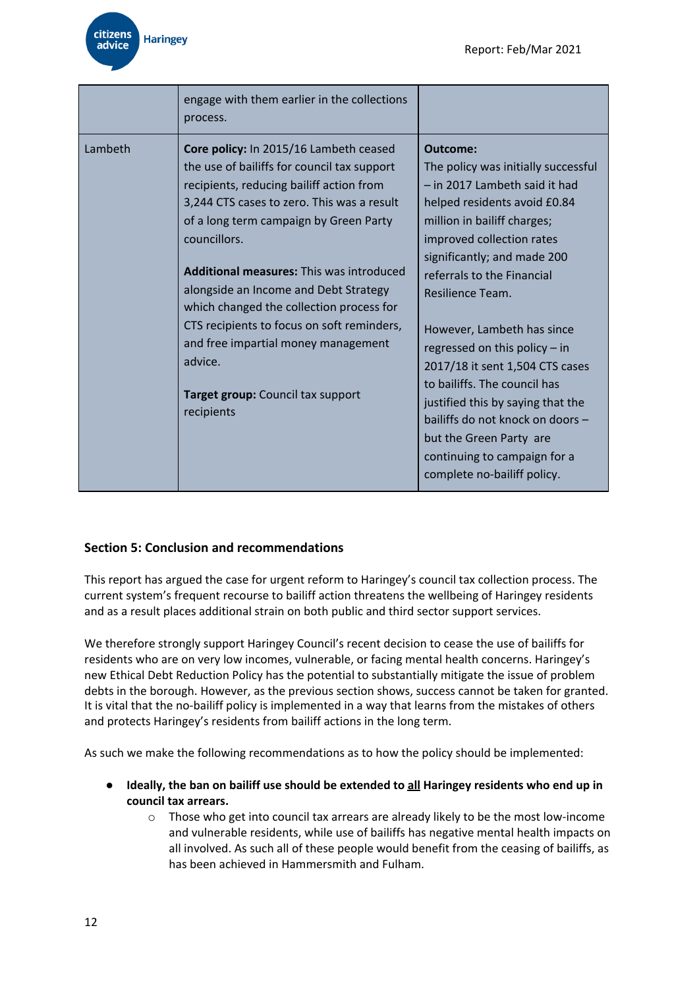|         | engage with them earlier in the collections<br>process.                                                                                                                                                                                                                                                                                                                                                                                                                                                                              |                                                                                                                                                                                                                                                                                                                                                                                                                                                                                                                                                                    |
|---------|--------------------------------------------------------------------------------------------------------------------------------------------------------------------------------------------------------------------------------------------------------------------------------------------------------------------------------------------------------------------------------------------------------------------------------------------------------------------------------------------------------------------------------------|--------------------------------------------------------------------------------------------------------------------------------------------------------------------------------------------------------------------------------------------------------------------------------------------------------------------------------------------------------------------------------------------------------------------------------------------------------------------------------------------------------------------------------------------------------------------|
| Lambeth | Core policy: In 2015/16 Lambeth ceased<br>the use of bailiffs for council tax support<br>recipients, reducing bailiff action from<br>3,244 CTS cases to zero. This was a result<br>of a long term campaign by Green Party<br>councillors.<br><b>Additional measures: This was introduced</b><br>alongside an Income and Debt Strategy<br>which changed the collection process for<br>CTS recipients to focus on soft reminders,<br>and free impartial money management<br>advice.<br>Target group: Council tax support<br>recipients | Outcome:<br>The policy was initially successful<br>- in 2017 Lambeth said it had<br>helped residents avoid £0.84<br>million in bailiff charges;<br>improved collection rates<br>significantly; and made 200<br>referrals to the Financial<br>Resilience Team.<br>However, Lambeth has since<br>regressed on this policy - in<br>2017/18 it sent 1,504 CTS cases<br>to bailiffs. The council has<br>justified this by saying that the<br>bailiffs do not knock on doors -<br>but the Green Party are<br>continuing to campaign for a<br>complete no-bailiff policy. |

# **Section 5: Conclusion and recommendations**

This report has argued the case for urgent reform to Haringey's council tax collection process. The current system's frequent recourse to bailiff action threatens the wellbeing of Haringey residents and as a result places additional strain on both public and third sector support services.

We therefore strongly support Haringey Council's recent decision to cease the use of bailiffs for residents who are on very low incomes, vulnerable, or facing mental health concerns. Haringey's new Ethical Debt Reduction Policy has the potential to substantially mitigate the issue of problem debts in the borough. However, as the previous section shows, success cannot be taken for granted. It is vital that the no-bailiff policy is implemented in a way that learns from the mistakes of others and protects Haringey's residents from bailiff actions in the long term.

As such we make the following recommendations as to how the policy should be implemented:

- **● Ideally, the ban on bailiff use should be extended to all Haringey residents who end up in council tax arrears.**
	- o Those who get into council tax arrears are already likely to be the most low-income and vulnerable residents, while use of bailiffs has negative mental health impacts on all involved. As such all of these people would benefit from the ceasing of bailiffs, as has been achieved in Hammersmith and Fulham.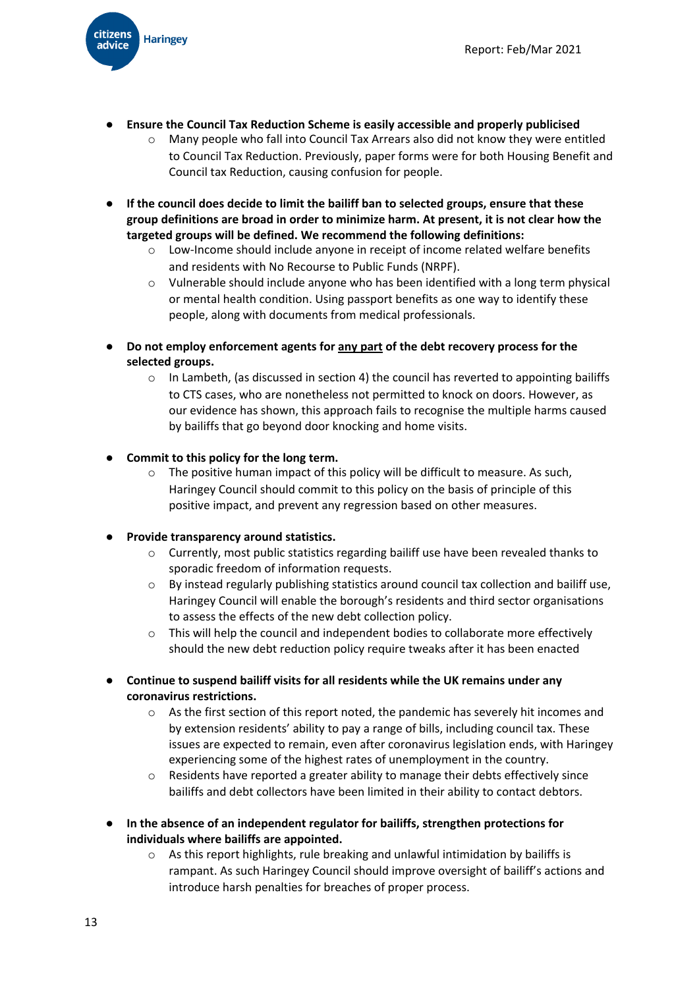

- **● Ensure the Council Tax Reduction Scheme is easily accessible and properly publicised**
	- o Many people who fall into Council Tax Arrears also did not know they were entitled to Council Tax Reduction. Previously, paper forms were for both Housing Benefit and Council tax Reduction, causing confusion for people.
- **● If the council does decide to limit the bailiff ban to selected groups, ensure that these group definitions are broad in order to minimize harm. At present, it is not clear how the targeted groups will be defined. We recommend the following definitions:**
	- o Low-Income should include anyone in receipt of income related welfare benefits and residents with No Recourse to Public Funds (NRPF).
	- $\circ$  Vulnerable should include anyone who has been identified with a long term physical or mental health condition. Using passport benefits as one way to identify these people, along with documents from medical professionals.
- **● Do not employ enforcement agents for any part of the debt recovery process for the selected groups.**
	- $\circ$  In Lambeth, (as discussed in section 4) the council has reverted to appointing bailiffs to CTS cases, who are nonetheless not permitted to knock on doors. However, as our evidence has shown, this approach fails to recognise the multiple harms caused by bailiffs that go beyond door knocking and home visits.
- **● Commit to this policy for the long term.**
	- o The positive human impact of this policy will be difficult to measure. As such, Haringey Council should commit to this policy on the basis of principle of this positive impact, and prevent any regression based on other measures.
- **● Provide transparency around statistics.**
	- o Currently, most public statistics regarding bailiff use have been revealed thanks to sporadic freedom of information requests.
	- o By instead regularly publishing statistics around council tax collection and bailiff use, Haringey Council will enable the borough's residents and third sector organisations to assess the effects of the new debt collection policy.
	- $\circ$  This will help the council and independent bodies to collaborate more effectively should the new debt reduction policy require tweaks after it has been enacted
- **● Continue to suspend bailiff visits for all residents while the UK remains under any coronavirus restrictions.**
	- o As the first section of this report noted, the pandemic has severely hit incomes and by extension residents' ability to pay a range of bills, including council tax. These issues are expected to remain, even after coronavirus legislation ends, with Haringey experiencing some of the highest rates of unemployment in the country.
	- o Residents have reported a greater ability to manage their debts effectively since bailiffs and debt collectors have been limited in their ability to contact debtors.
- **● In the absence of an independent regulator for bailiffs, strengthen protections for individuals where bailiffs are appointed.**
	- o As this report highlights, rule breaking and unlawful intimidation by bailiffs is rampant. As such Haringey Council should improve oversight of bailiff's actions and introduce harsh penalties for breaches of proper process.